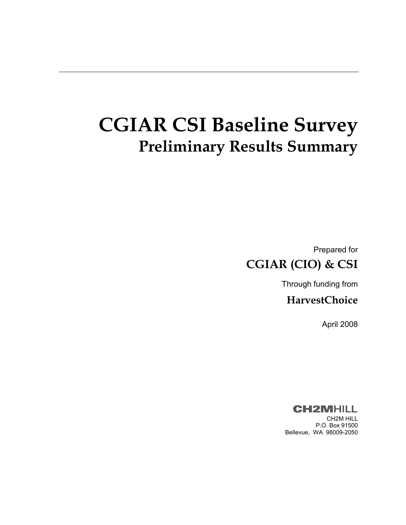# **CGIAR CSI Baseline Survey Preliminary Results Summary**

Prepared for **CGIAR (CIO) & CSI** 

Through funding from

**HarvestChoice** 

April 2008

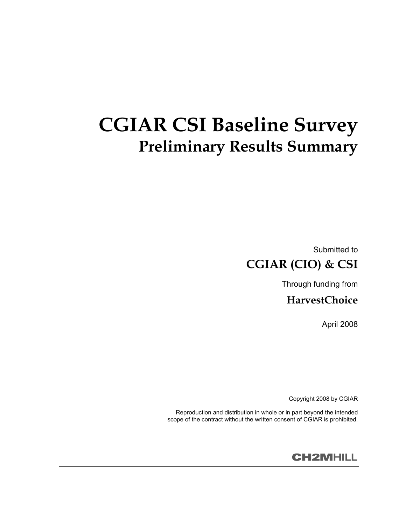# **CGIAR CSI Baseline Survey Preliminary Results Summary**

Submitted to **CGIAR (CIO) & CSI** 

Through funding from

**HarvestChoice** 

April 2008

Copyright 2008 by CGIAR

Reproduction and distribution in whole or in part beyond the intended scope of the contract without the written consent of CGIAR is prohibited.

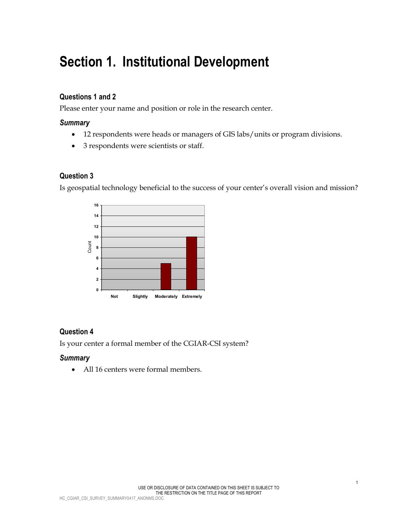## **Section 1. Institutional Development**

#### **Questions 1 and 2**

Please enter your name and position or role in the research center.

#### *Summary*

- 12 respondents were heads or managers of GIS labs/units or program divisions.
- 3 respondents were scientists or staff.

#### **Question 3**

Is geospatial technology beneficial to the success of your center's overall vision and mission?



## **Question 4**

Is your center a formal member of the CGIAR-CSI system?

#### *Summary*

• All 16 centers were formal members.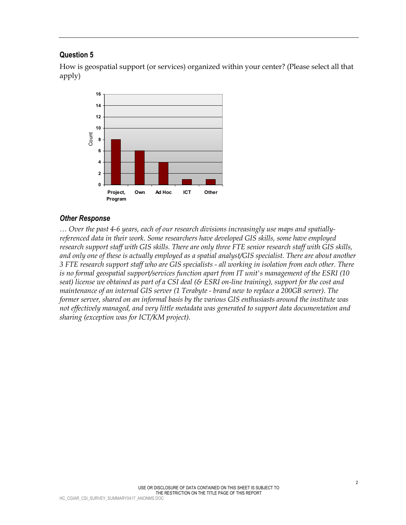How is geospatial support (or services) organized within your center? (Please select all that apply)



#### *Other Response*

*… Over the past 4-6 years, each of our research divisions increasingly use maps and spatiallyreferenced data in their work. Some researchers have developed GIS skills, some have employed research support staff with GIS skills. There are only three FTE senior research staff with GIS skills, and only one of these is actually employed as a spatial analyst/GIS specialist. There are about another 3 FTE research support staff who are GIS specialists - all working in isolation from each other. There is no formal geospatial support/services function apart from IT unit's management of the ESRI (10 seat) license we obtained as part of a CSI deal (& ESRI on-line training), support for the cost and maintenance of an internal GIS server (1 Terabyte - brand new to replace a 200GB server). The former server, shared on an informal basis by the various GIS enthusiasts around the institute was not effectively managed, and very little metadata was generated to support data documentation and sharing (exception was for ICT/KM project).*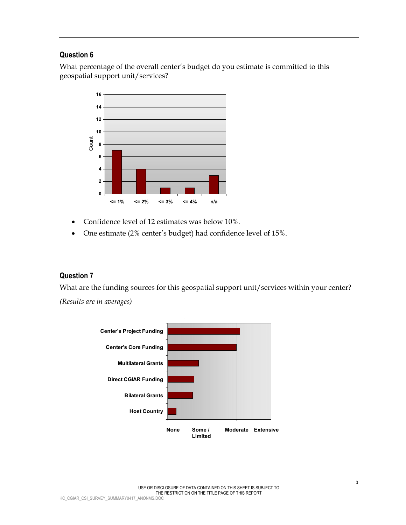What percentage of the overall center's budget do you estimate is committed to this geospatial support unit/services?



- Confidence level of 12 estimates was below 10%.
- One estimate (2% center's budget) had confidence level of 15%.

#### **Question 7**

What are the funding sources for this geospatial support unit/services within your center?

*(Results are in averages)* 

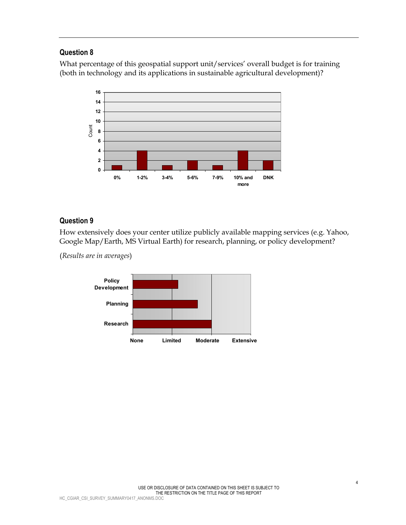What percentage of this geospatial support unit/services' overall budget is for training (both in technology and its applications in sustainable agricultural development)?



### **Question 9**

How extensively does your center utilize publicly available mapping services (e.g. Yahoo, Google Map/Earth, MS Virtual Earth) for research, planning, or policy development?

(*Results are in averages*)

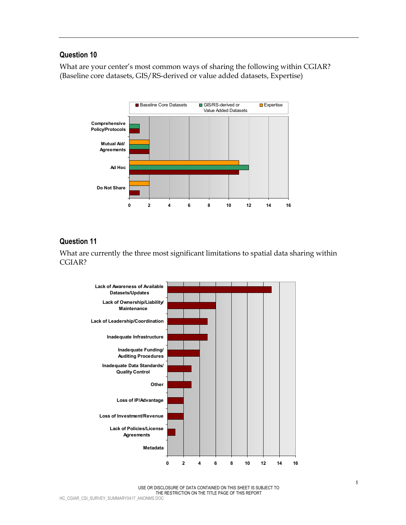What are your center's most common ways of sharing the following within CGIAR? (Baseline core datasets, GIS/RS-derived or value added datasets, Expertise)



#### **Question 11**

What are currently the three most significant limitations to spatial data sharing within CGIAR?



USE OR DISCLOSURE OF DATA CONTAINED ON THIS SHEET IS SUBJECT TO THE RESTRICTION ON THE TITLE PAGE OF THIS REPORT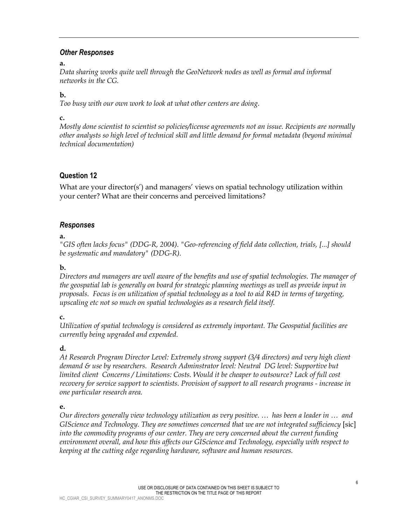#### *Other Responses*

#### **a.**

Data sharing works quite well through the GeoNetwork nodes as well as formal and informal *networks in the CG.* 

#### **b.**

*Too busy with our own work to look at what other centers are doing.* 

#### **c.**

*Mostly done scientist to scientist so policies/license agreements not an issue. Recipients are normally other analysts so high level of technical skill and little demand for formal metadata (beyond minimal technical documentation)* 

## **Question 12**

What are your director(s') and managers' views on spatial technology utilization within your center? What are their concerns and perceived limitations?

### *Responses*

### **a.**

*"GIS often lacks focus" (DDG-R, 2004). "Geo-referencing of field data collection, trials, [...] should be systematic and mandatory" (DDG-R).* 

### **b.**

*Directors and managers are well aware of the benefits and use of spatial technologies. The manager of the geospatial lab is generally on board for strategic planning meetings as well as provide input in proposals. Focus is on utilization of spatial technology as a tool to aid R4D in terms of targeting, upscaling etc not so much on spatial technologies as a research field itself.* 

### **c.**

*Utilization of spatial technology is considered as extremely important. The Geospatial facilities are currently being upgraded and expended.* 

## **d.**

*At Research Program Director Level: Extremely strong support (3/4 directors) and very high client demand & use by researchers. Research Adminstrator level: Neutral DG level: Supportive but limited client Concerns / Limitations: Costs. Would it be cheaper to outsource? Lack of full cost recovery for service support to scientists. Provision of support to all research programs - increase in one particular research area.* 

### **e.**

*Our directors generally view technology utilization as very positive. … has been a leader in … and GIScience and Technology. They are sometimes concerned that we are not integrated sufficiency [sic] into the commodity programs of our center. They are very concerned about the current funding environment overall, and how this affects our GIScience and Technology, especially with respect to keeping at the cutting edge regarding hardware, software and human resources.*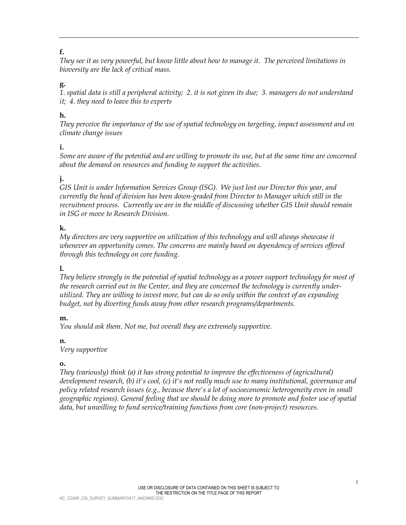## **f.**

*They see it as very powerful, but know little about how to manage it. The perceived limitations in bioversity are the lack of critical mass.* 

## **g.**

*1. spatial data is still a peripheral activity; 2. it is not given its due; 3. managers do not understand it; 4. they need to leave this to experts* 

## **h.**

*They perceive the importance of the use of spatial technology on targeting, impact assessment and on climate change issues* 

### **i.**

*Some are aware of the potential and are willing to promote its use, but at the same time are concerned about the demand on resources and funding to support the activities.* 

## **j.**

*GIS Unit is under Information Services Group (ISG). We just lost our Director this year, and currently the head of division has been down-graded from Director to Manager which still in the recruitment process. Currently we are in the middle of discussing whether GIS Unit should remain in ISG or move to Research Division.* 

## **k.**

*My directors are very supportive on utilization of this technology and will always showcase it whenever an opportunity comes. The concerns are mainly based on dependency of services offered through this technology on core funding.* 

### **l.**

*They believe strongly in the potential of spatial technology as a power support technology for most of the research carried out in the Center, and they are concerned the technology is currently underutilized. They are willing to invest more, but can do so only within the context of an expanding budget, not by diverting funds away from other research programs/departments.* 

### **m.**

*You should ask them. Not me, but overall they are extremely supportive.* 

### **n.**

*Very supportive* 

### **o.**

*They (variously) think (a) it has strong potential to improve the effectiveness of (agricultural) development research, (b) it's cool, (c) it's not really much use to many institutional, governance and policy related research issues (e.g., because there's a lot of socioeconomic heterogeneity even in small geographic regions). General feeling that we should be doing more to promote and foster use of spatial data, but unwilling to fund service/training functions from core (non-project) resources.*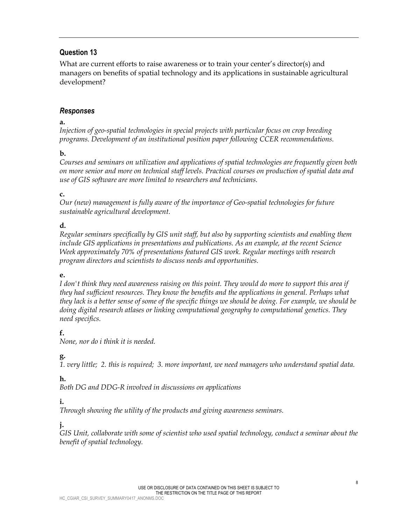What are current efforts to raise awareness or to train your center's director(s) and managers on benefits of spatial technology and its applications in sustainable agricultural development?

### *Responses*

#### **a.**

*Injection of geo-spatial technologies in special projects with particular focus on crop breeding programs. Development of an institutional position paper following CCER recommendations.* 

## **b.**

*Courses and seminars on utilization and applications of spatial technologies are frequently given both on more senior and more on technical staff levels. Practical courses on production of spatial data and use of GIS software are more limited to researchers and technicians.* 

## **c.**

*Our (new) management is fully aware of the importance of Geo-spatial technologies for future sustainable agricultural development.* 

## **d.**

*Regular seminars specifically by GIS unit staff, but also by supporting scientists and enabling them include GIS applications in presentations and publications. As an example, at the recent Science Week approximately 70% of presentations featured GIS work. Regular meetings with research program directors and scientists to discuss needs and opportunities.* 

### **e.**

*I don't think they need awareness raising on this point. They would do more to support this area if they had sufficient resources. They know the benefits and the applications in general. Perhaps what they lack is a better sense of some of the specific things we should be doing. For example, we should be doing digital research atlases or linking computational geography to computational genetics. They need specifics.* 

## **f.**

*None, nor do i think it is needed.* 

## **g.**

*1. very little; 2. this is required; 3. more important, we need managers who understand spatial data.* 

## **h.**

*Both DG and DDG-R involved in discussions on applications* 

## **i.**

*Through showing the utility of the products and giving awareness seminars.* 

## **j.**

*GIS Unit, collaborate with some of scientist who used spatial technology, conduct a seminar about the benefit of spatial technology.*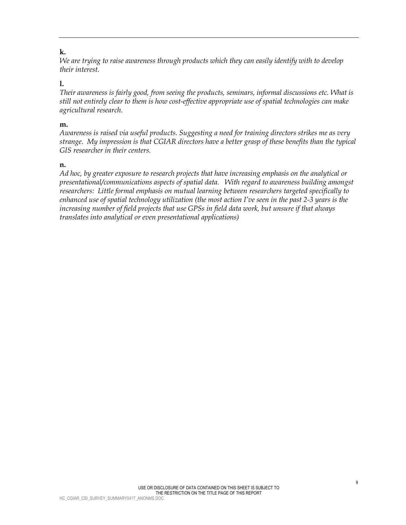#### **k.**

*We are trying to raise awareness through products which they can easily identify with to develop their interest.* 

#### **l.**

*Their awareness is fairly good, from seeing the products, seminars, informal discussions etc. What is still not entirely clear to them is how cost-effective appropriate use of spatial technologies can make agricultural research.* 

#### **m.**

*Awareness is raised via useful products. Suggesting a need for training directors strikes me as very strange. My impression is that CGIAR directors have a better grasp of these benefits than the typical GIS researcher in their centers.* 

#### **n.**

*Ad hoc, by greater exposure to research projects that have increasing emphasis on the analytical or presentational/communications aspects of spatial data. With regard to awareness building amongst researchers: Little formal emphasis on mutual learning between researchers targeted specifically to enhanced use of spatial technology utilization (the most action I've seen in the past 2-3 years is the increasing number of field projects that use GPSs in field data work, but unsure if that always translates into analytical or even presentational applications)*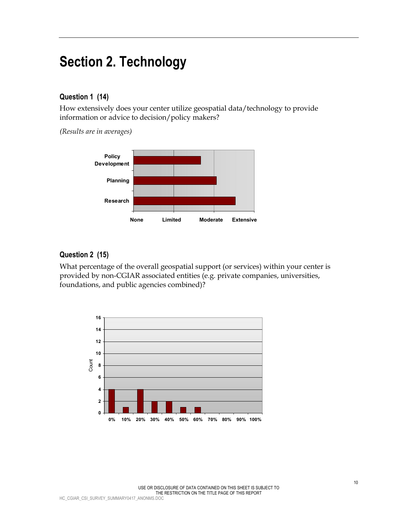## **Section 2. Technology**

#### **Question 1 (14)**

How extensively does your center utilize geospatial data/technology to provide information or advice to decision/policy makers?

*(Results are in averages)*



#### **Question 2 (15)**

What percentage of the overall geospatial support (or services) within your center is provided by non-CGIAR associated entities (e.g. private companies, universities, foundations, and public agencies combined)?

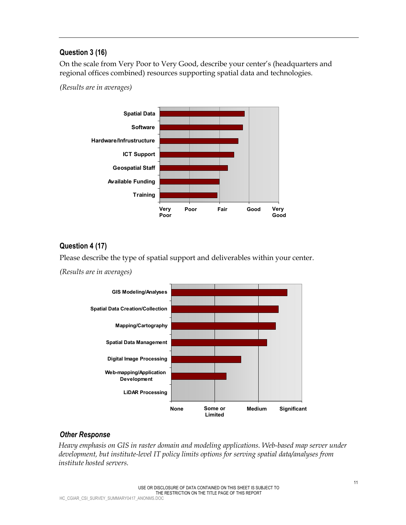## **Question 3 (16)**

On the scale from Very Poor to Very Good, describe your center's (headquarters and regional offices combined) resources supporting spatial data and technologies.

*(Results are in averages)* 



## **Question 4 (17)**

Please describe the type of spatial support and deliverables within your center.

*(Results are in averages)*



### *Other Response*

*Heavy emphasis on GIS in raster domain and modeling applications. Web-based map server under development, but institute-level IT policy limits options for serving spatial data/analyses from institute hosted servers.*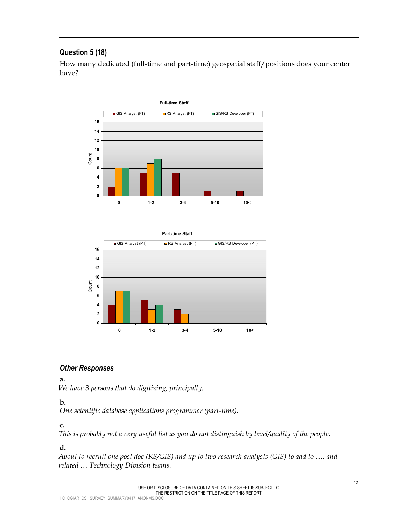## **Question 5 (18)**

How many dedicated (full-time and part-time) geospatial staff/positions does your center have?





### *Other Responses*

#### **a.**

*We have 3 persons that do digitizing, principally.* 

### **b.**

*One scientific database applications programmer (part-time).* 

### **c.**

*This is probably not a very useful list as you do not distinguish by level/quality of the people.* 

## **d.**

*About to recruit one post doc (RS/GIS) and up to two research analysts (GIS) to add to …. and related … Technology Division teams.*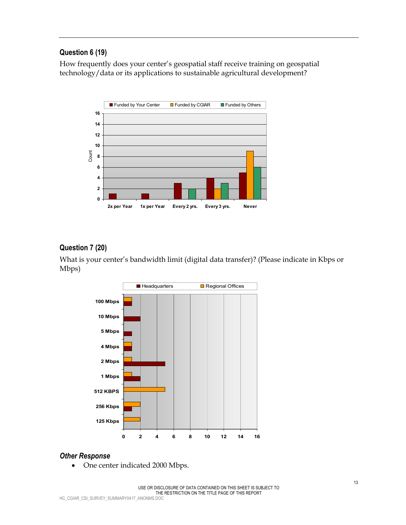## **Question 6 (19)**

How frequently does your center's geospatial staff receive training on geospatial technology/data or its applications to sustainable agricultural development?



## **Question 7 (20)**

What is your center's bandwidth limit (digital data transfer)? (Please indicate in Kbps or Mbps)



### *Other Response*

• One center indicated 2000 Mbps.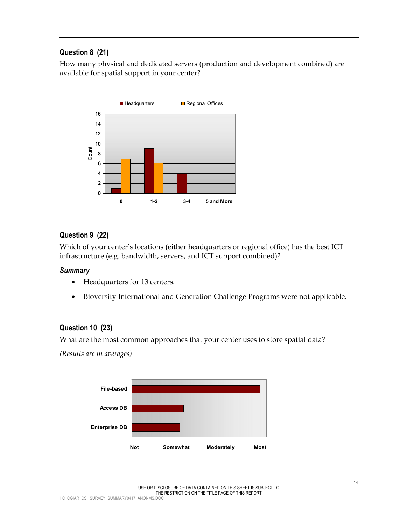## **Question 8 (21)**

How many physical and dedicated servers (production and development combined) are available for spatial support in your center?



## **Question 9 (22)**

Which of your center's locations (either headquarters or regional office) has the best ICT infrastructure (e.g. bandwidth, servers, and ICT support combined)?

#### *Summary*

- Headquarters for 13 centers.
- Bioversity International and Generation Challenge Programs were not applicable.

### **Question 10 (23)**

What are the most common approaches that your center uses to store spatial data?

*(Results are in averages)*

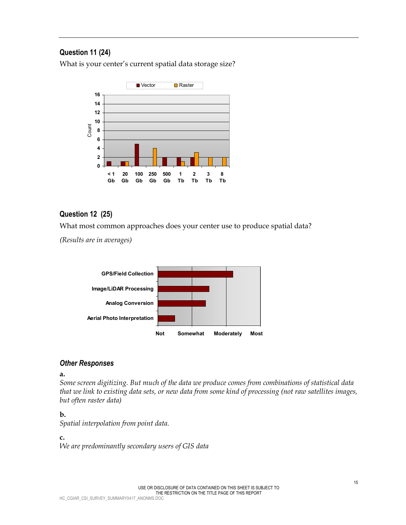## **Question 11 (24)**

What is your center's current spatial data storage size?



## **Question 12 (25)**

What most common approaches does your center use to produce spatial data?

*(Results are in averages)*



#### *Other Responses*

**a.** 

*Some screen digitizing. But much of the data we produce comes from combinations of statistical data that we link to existing data sets, or new data from some kind of processing (not raw satellites images, but often raster data)* 

#### **b.**

*Spatial interpolation from point data.* 

### **c.**

*We are predominantly secondary users of GIS data*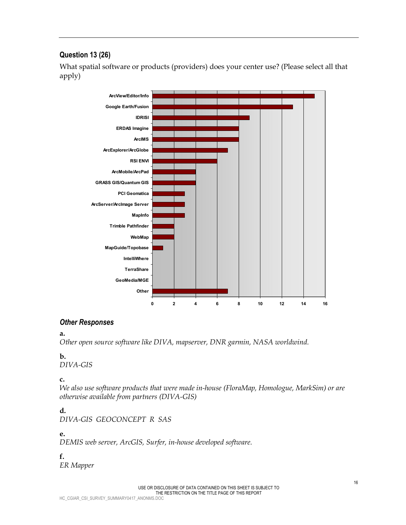## **Question 13 (26)**

What spatial software or products (providers) does your center use? (Please select all that apply)



#### *Other Responses*

#### **a.**

*Other open source software like DIVA, mapserver, DNR garmin, NASA worldwind.* 

#### **b.**

*DIVA-GIS* 

#### **c.**

*We also use software products that were made in-house (FloraMap, Homologue, MarkSim) or are otherwise available from partners (DIVA-GIS)* 

### **d.**

*DIVA-GIS GEOCONCEPT R SAS* 

#### **e.**

*DEMIS web server, ArcGIS, Surfer, in-house developed software.* 

### **f.**

*ER Mapper*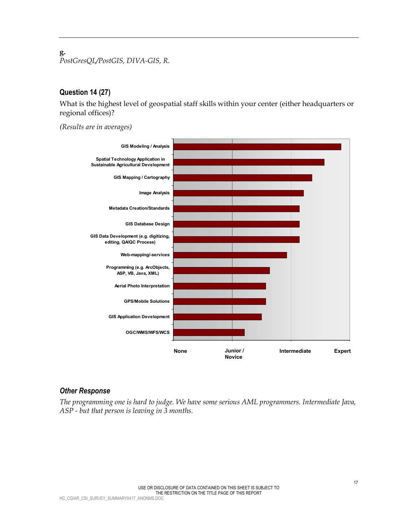**g.**  *PostGresQL/PostGIS, DIVA-GIS, R.* 

#### **Question 14 (27)**

What is the highest level of geospatial staff skills within your center (either headquarters or regional offices)?

*(Results are in averages)*



#### *Other Response*

*The programming one is hard to judge. We have some serious AML programmers. Intermediate Java, ASP - but that person is leaving in 3 months.*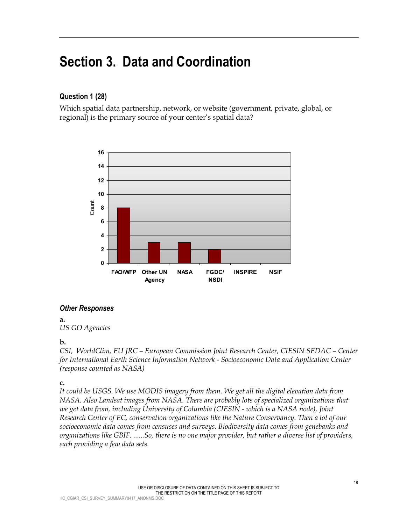## **Section 3. Data and Coordination**

## **Question 1 (28)**

Which spatial data partnership, network, or website (government, private, global, or regional) is the primary source of your center's spatial data?



### *Other Responses*

**a.**  *US GO Agencies* 

#### **b.**

*CSI, WorldClim, EU JRC – European Commission Joint Research Center, CIESIN SEDAC – Center for International Earth Science Information Network - Socioeconomic Data and Application Center (response counted as NASA)* 

#### **c.**

*It could be USGS. We use MODIS imagery from them. We get all the digital elevation data from NASA. Also Landsat images from NASA. There are probably lots of specialized organizations that we get data from, including University of Columbia (CIESIN - which is a NASA node), Joint Research Center of EC, conservation organizations like the Nature Conservancy. Then a lot of our socioeconomic data comes from censuses and surveys. Biodiversity data comes from genebanks and organizations like GBIF. ......So, there is no one major provider, but rather a diverse list of providers, each providing a few data sets.*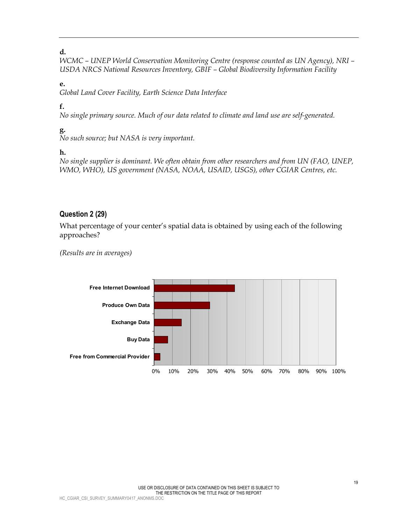#### **d.**

*WCMC – UNEP World Conservation Monitoring Centre (response counted as UN Agency), NRI – USDA NRCS National Resources Inventory, GBIF – Global Biodiversity Information Facility* 

#### **e.**

*Global Land Cover Facility, Earth Science Data Interface* 

## **f.**

*No single primary source. Much of our data related to climate and land use are self-generated.* 

## **g.**

*No such source; but NASA is very important.* 

## **h.**

*No single supplier is dominant. We often obtain from other researchers and from UN (FAO, UNEP, WMO, WHO), US government (NASA, NOAA, USAID, USGS), other CGIAR Centres, etc.* 

### **Question 2 (29)**

What percentage of your center's spatial data is obtained by using each of the following approaches?

*(Results are in averages)*

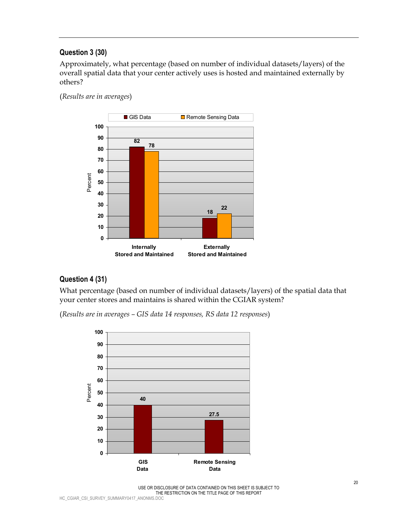## **Question 3 (30)**

Approximately, what percentage (based on number of individual datasets/layers) of the overall spatial data that your center actively uses is hosted and maintained externally by others?

(*Results are in averages*)



#### **Question 4 (31)**

What percentage (based on number of individual datasets/layers) of the spatial data that your center stores and maintains is shared within the CGIAR system?

(*Results are in averages – GIS data 14 responses, RS data 12 responses*)



USE OR DISCLOSURE OF DATA CONTAINED ON THIS SHEET IS SUBJECT TO THE RESTRICTION ON THE TITLE PAGE OF THIS REPORT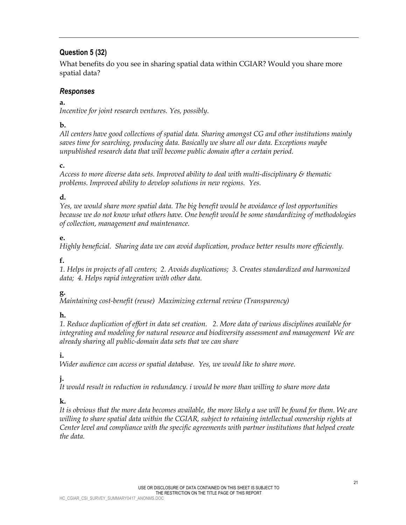## **Question 5 (32)**

What benefits do you see in sharing spatial data within CGIAR? Would you share more spatial data?

## *Responses*

### **a.**

*Incentive for joint research ventures. Yes, possibly.* 

## **b.**

*All centers have good collections of spatial data. Sharing amongst CG and other institutions mainly saves time for searching, producing data. Basically we share all our data. Exceptions maybe unpublished research data that will become public domain after a certain period.* 

## **c.**

*Access to more diverse data sets. Improved ability to deal with multi-disciplinary & thematic problems. Improved ability to develop solutions in new regions. Yes.* 

## **d.**

*Yes, we would share more spatial data. The big benefit would be avoidance of lost opportunities because we do not know what others have. One benefit would be some standardizing of methodologies of collection, management and maintenance.* 

## **e.**

*Highly beneficial. Sharing data we can avoid duplication, produce better results more efficiently.* 

## **f.**

*1. Helps in projects of all centers; 2. Avoids duplications; 3. Creates standardized and harmonized data; 4. Helps rapid integration with other data.* 

## **g.**

*Maintaining cost-benefit (reuse) Maximizing external review (Transparency)* 

## **h.**

*1. Reduce duplication of effort in data set creation. 2. More data of various disciplines available for integrating and modeling for natural resource and biodiversity assessment and management We are already sharing all public-domain data sets that we can share* 

## **i.**

*Wider audience can access or spatial database. Yes, we would like to share more.* 

## **j.**

*It would result in reduction in redundancy. i would be more than willing to share more data* 

## **k.**

*It is obvious that the more data becomes available, the more likely a use will be found for them. We are*  willing to share spatial data within the CGIAR, subject to retaining intellectual ownership rights at *Center level and compliance with the specific agreements with partner institutions that helped create the data.*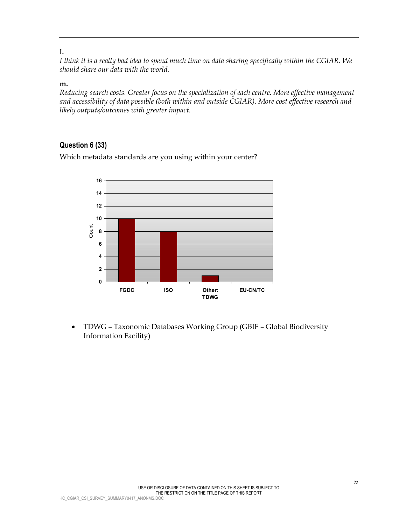#### **l.**

*I think it is a really bad idea to spend much time on data sharing specifically within the CGIAR. We should share our data with the world.* 

#### **m.**

*Reducing search costs. Greater focus on the specialization of each centre. More effective management and accessibility of data possible (both within and outside CGIAR). More cost effective research and likely outputs/outcomes with greater impact.* 

## **Question 6 (33)**

**0 2 4 6 8 10 12 14 16** FGDC ISO Other: **TDWG EU-CN/TC** Count

Which metadata standards are you using within your center?

• TDWG – Taxonomic Databases Working Group (GBIF – Global Biodiversity Information Facility)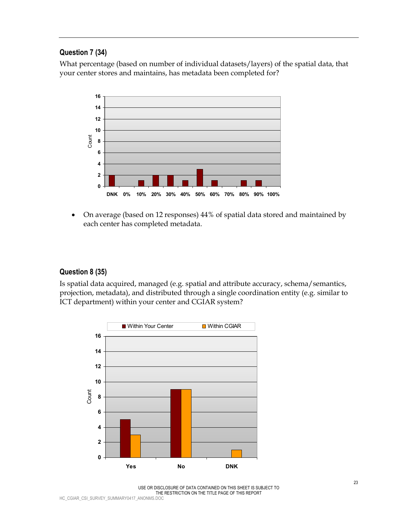## **Question 7 (34)**

What percentage (based on number of individual datasets/layers) of the spatial data, that your center stores and maintains, has metadata been completed for?



• On average (based on 12 responses) 44% of spatial data stored and maintained by each center has completed metadata.

## **Question 8 (35)**

Is spatial data acquired, managed (e.g. spatial and attribute accuracy, schema/semantics, projection, metadata), and distributed through a single coordination entity (e.g. similar to ICT department) within your center and CGIAR system?

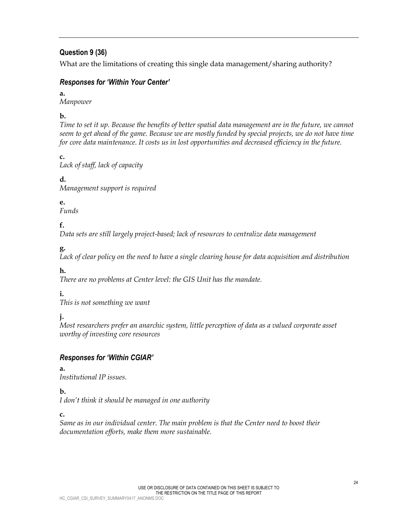## **Question 9 (36)**

What are the limitations of creating this single data management/sharing authority?

## *Responses for 'Within Your Center'*

#### **a.**

*Manpower* 

## **b.**

*Time to set it up. Because the benefits of better spatial data management are in the future, we cannot*  seem to get ahead of the game. Because we are mostly funded by special projects, we do not have time *for core data maintenance. It costs us in lost opportunities and decreased efficiency in the future.* 

**c.**  *Lack of staff, lack of capacity* 

## **d.**

*Management support is required* 

## **e.**

*Funds* 

## **f.**

*Data sets are still largely project-based; lack of resources to centralize data management* 

## **g.**

*Lack of clear policy on the need to have a single clearing house for data acquisition and distribution*

### **h.**

*There are no problems at Center level: the GIS Unit has the mandate.* 

## **i.**

*This is not something we want* 

## **j.**

*Most researchers prefer an anarchic system, little perception of data as a valued corporate asset worthy of investing core resources* 

## *Responses for 'Within CGIAR'*

### **a.**

*Institutional IP issues.* 

## **b.**

*I don't think it should be managed in one authority* 

## **c.**

*Same as in our individual center. The main problem is that the Center need to boost their documentation efforts, make them more sustainable.*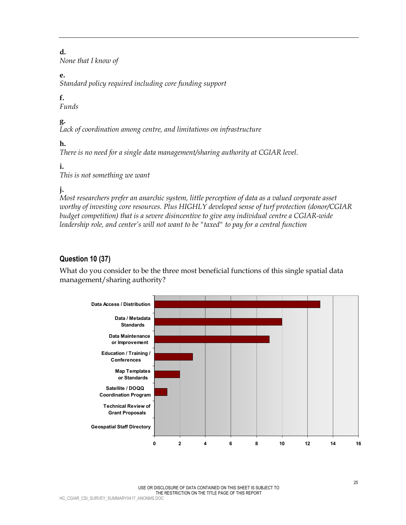#### **d.**

*None that I know of* 

## **e.**

*Standard policy required including core funding support* 

## **f.**

*Funds* 

## **g.**

*Lack of coordination among centre, and limitations on infrastructure* 

## **h.**

*There is no need for a single data management/sharing authority at CGIAR level.* 

## **i.**

*This is not something we want* 

## **j.**

*Most researchers prefer an anarchic system, little perception of data as a valued corporate asset worthy of investing core resources. Plus HIGHLY developed sense of turf protection (donor/CGIAR*  budget competition) that is a severe disincentive to give any individual centre a CGIAR-wide *leadership role, and center's will not want to be "taxed" to pay for a central function* 

## **Question 10 (37)**

What do you consider to be the three most beneficial functions of this single spatial data management/sharing authority?

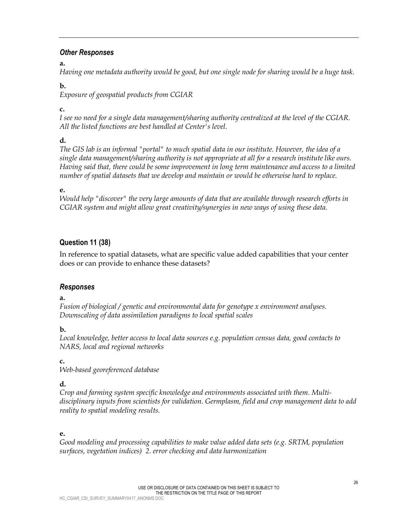#### *Other Responses*

#### **a.**

*Having one metadata authority would be good, but one single node for sharing would be a huge task.* 

### **b.**

*Exposure of geospatial products from CGIAR* 

## **c.**

*I see no need for a single data management/sharing authority centralized at the level of the CGIAR. All the listed functions are best handled at Center's level.* 

## **d.**

*The GIS lab is an informal "portal" to much spatial data in our institute. However, the idea of a single data management/sharing authority is not appropriate at all for a research institute like ours. Having said that, there could be some improvement in long term maintenance and access to a limited number of spatial datasets that we develop and maintain or would be otherwise hard to replace.* 

## **e.**

*Would help "discover" the very large amounts of data that are available through research efforts in CGIAR system and might allow great creativity/synergies in new ways of using these data.* 

## **Question 11 (38)**

In reference to spatial datasets, what are specific value added capabilities that your center does or can provide to enhance these datasets?

## *Responses*

### **a.**

*Fusion of biological / genetic and environmental data for genotype x environment analyses. Downscaling of data assimilation paradigms to local spatial scales* 

## **b.**

*Local knowledge, better access to local data sources e.g. population census data, good contacts to NARS, local and regional networks* 

## **c.**

*Web-based georeferenced database* 

## **d.**

*Crop and farming system specific knowledge and environments associated with them. Multidisciplinary inputs from scientists for validation. Germplasm, field and crop management data to add reality to spatial modeling results.* 

## **e.**

*Good modeling and processing capabilities to make value added data sets (e.g. SRTM, population surfaces, vegetation indices) 2. error checking and data harmonization*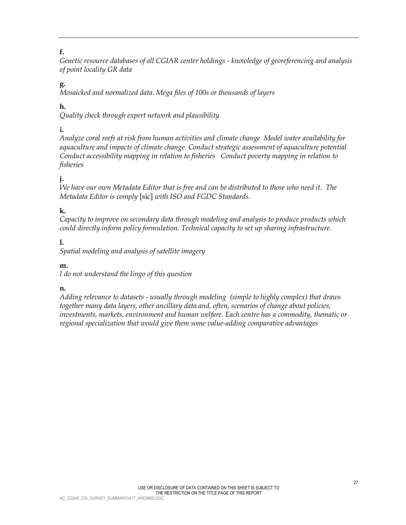## **f.**

*Genetic resource databases of all CGIAR center holdings - knowledge of georeferencing and analysis of point locality GR data* 

## **g.**

*Mosaicked and normalized data. Mega files of 100s or thousands of layers* 

## **h.**

*Quality check through expert network and plausibility* 

## **i.**

*Analyze coral reefs at risk from human activities and climate change Model water availability for aquaculture and impacts of climate change Conduct strategic assessment of aquaculture potential Conduct accessibility mapping in relation to fisheries Conduct poverty mapping in relation to fisheries* 

## **j.**

*We have our own Metadata Editor that is free and can be distributed to those who need it. The Metadata Editor is comply* [sic] *with ISO and FGDC Standards.* 

## **k.**

*Capacity to improve on secondary data through modeling and analysis to produce products which could directly inform policy formulation. Technical capacity to set up sharing infrastructure.* 

## **l.**

*Spatial modeling and analysis of satellite imagery* 

### **m.**

*I do not understand the lingo of this question* 

### **n.**

*Adding relevance to datasets - usually through modeling (simple to highly complex) that draws together many data layers, other ancillary data and, often, scenarios of change about policies, investments, markets, environment and human welfare. Each centre has a commodity, thematic or regional specialization that would give them some value-adding comparative advantages*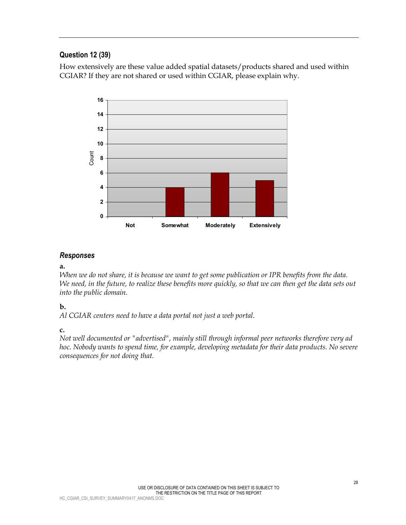## **Question 12 (39)**

How extensively are these value added spatial datasets/products shared and used within CGIAR? If they are not shared or used within CGIAR, please explain why.



#### *Responses*

#### **a.**

*When we do not share, it is because we want to get some publication or IPR benefits from the data. We need, in the future, to realize these benefits more quickly, so that we can then get the data sets out into the public domain.* 

### **b.**

*Al CGIAR centers need to have a data portal not just a web portal.* 

#### **c.**

*Not well documented or "advertised", mainly still through informal peer networks therefore very ad hoc. Nobody wants to spend time, for example, developing metadata for their data products. No severe consequences for not doing that.*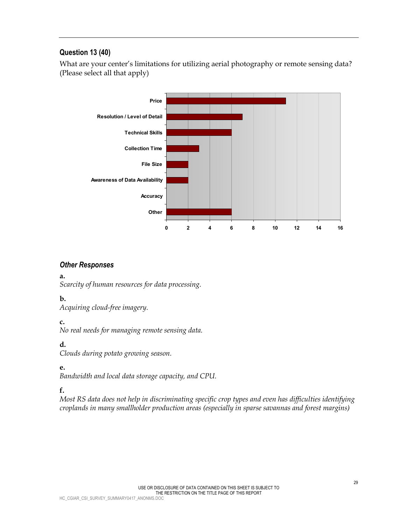## **Question 13 (40)**

What are your center's limitations for utilizing aerial photography or remote sensing data? (Please select all that apply)



#### *Other Responses*

#### **a.**

*Scarcity of human resources for data processing.* 

### **b.**

*Acquiring cloud-free imagery.* 

### **c.**

*No real needs for managing remote sensing data.* 

## **d.**

*Clouds during potato growing season.* 

### **e.**

*Bandwidth and local data storage capacity, and CPU.* 

## **f.**

*Most RS data does not help in discriminating specific crop types and even has difficulties identifying croplands in many smallholder production areas (especially in sparse savannas and forest margins)*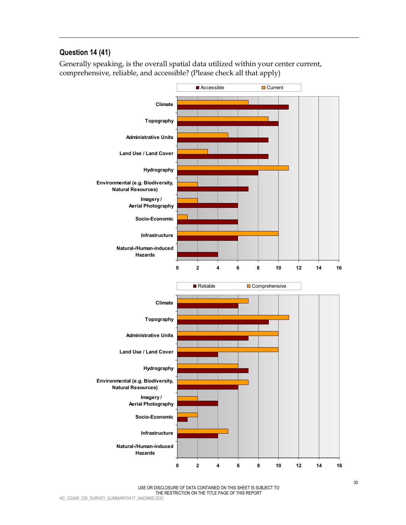## **Question 14 (41)**

Generally speaking, is the overall spatial data utilized within your center current, comprehensive, reliable, and accessible? (Please check all that apply)



USE OR DISCLOSURE OF DATA CONTAINED ON THIS SHEET IS SUBJECT TO THE RESTRICTION ON THE TITLE PAGE OF THIS REPORT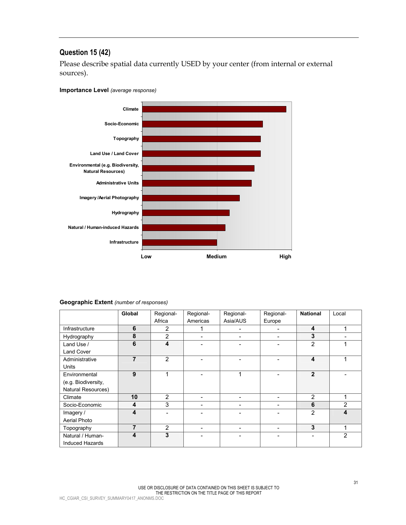## **Question 15 (42)**

Please describe spatial data currently USED by your center (from internal or external sources).

#### **Importance Level** *(average response)*



#### **Geographic Extent** *(number of responses)*

|                     | Global | Regional-      | Regional-                | Regional- | Regional- | <b>National</b> | Local          |
|---------------------|--------|----------------|--------------------------|-----------|-----------|-----------------|----------------|
|                     |        | Africa         | Americas                 | Asia/AUS  | Europe    |                 |                |
| Infrastructure      | 6      | $\overline{2}$ | 1                        | -         |           | 4               | 1              |
| Hydrography         | 8      | $\overline{2}$ | $\overline{\phantom{0}}$ | -         |           | 3               |                |
| Land Use /          | 6      | 4              |                          |           |           | $\overline{2}$  |                |
| <b>Land Cover</b>   |        |                |                          |           |           |                 |                |
| Administrative      | 7      | $\overline{2}$ |                          |           |           | 4               |                |
| <b>Units</b>        |        |                |                          |           |           |                 |                |
| Environmental       | 9      | 4              |                          | 1         |           | $\overline{2}$  |                |
| (e.g. Biodiversity, |        |                |                          |           |           |                 |                |
| Natural Resources)  |        |                |                          |           |           |                 |                |
| Climate             | 10     | 2              | $\overline{\phantom{0}}$ | -         |           | 2               |                |
| Socio-Economic      | 4      | 3              | -                        | -         |           | 6               | $\overline{2}$ |
| Imagery /           | 4      |                |                          |           |           | 2               | 4              |
| Aerial Photo        |        |                |                          |           |           |                 |                |
| Topography          | 7      | 2              |                          | -         |           | 3               | 1              |
| Natural / Human-    | 4      | 3              |                          | -         |           |                 | $\overline{2}$ |
| Induced Hazards     |        |                |                          |           |           |                 |                |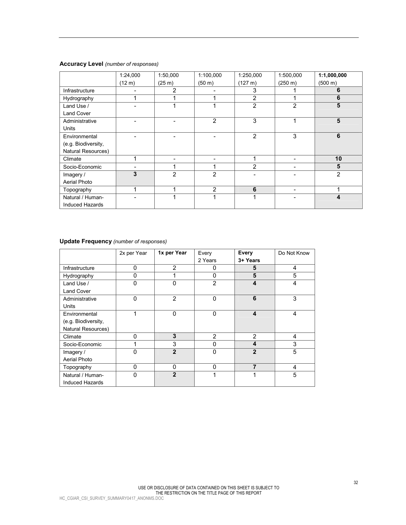#### **Accuracy Level** *(number of responses)*

|                     | 1:24,000 | 1:50,000       | 1:100,000      | 1:250,000      | 1:500,000      | 1:1,000,000    |
|---------------------|----------|----------------|----------------|----------------|----------------|----------------|
|                     | (12 m)   | (25 m)         | (50 m)         | $(127 \; m)$   | (250 m)        | (500 m)        |
| Infrastructure      |          | 2              |                | 3              |                | 6              |
| Hydrography         | 4        |                | ◢              | $\overline{2}$ |                | 6              |
| Land Use /          |          |                |                | 2              | $\overline{2}$ | 5              |
| <b>Land Cover</b>   |          |                |                |                |                |                |
| Administrative      |          |                | $\overline{2}$ | 3              |                | 5              |
| <b>Units</b>        |          |                |                |                |                |                |
| Environmental       |          |                |                | 2              | 3              | 6              |
| (e.g. Biodiversity, |          |                |                |                |                |                |
| Natural Resources)  |          |                |                |                |                |                |
| Climate             | ٠        |                |                |                |                | 10             |
| Socio-Economic      |          |                |                | 2              |                | 5              |
| Imagery /           | 3        | $\overline{2}$ | $\overline{2}$ |                |                | $\overline{2}$ |
| Aerial Photo        |          |                |                |                |                |                |
| Topography          | 4        |                | $\overline{2}$ | 6              |                |                |
| Natural / Human-    |          |                |                |                |                | 4              |
| Induced Hazards     |          |                |                |                |                |                |

## **Update Frequency** *(number of responses)*

|                        | 2x per Year | 1x per Year    | Every          | Every          | Do Not Know |
|------------------------|-------------|----------------|----------------|----------------|-------------|
|                        |             |                | 2 Years        | 3+ Years       |             |
| Infrastructure         | 0           | $\overline{2}$ | 0              | 5              | 4           |
| Hydrography            | 0           |                | $\Omega$       | 5              | 5           |
| Land Use /             | 0           | 0              | $\overline{2}$ | 4              | 4           |
| <b>Land Cover</b>      |             |                |                |                |             |
| Administrative         | $\mathbf 0$ | $\overline{2}$ | $\Omega$       | 6              | 3           |
| Units                  |             |                |                |                |             |
| Environmental          | 1           | $\mathbf{0}$   | $\Omega$       | 4              | 4           |
| (e.g. Biodiversity,    |             |                |                |                |             |
| Natural Resources)     |             |                |                |                |             |
| Climate                | 0           | 3              | $\overline{2}$ | $\overline{2}$ | 4           |
| Socio-Economic         |             | 3              | $\Omega$       | 4              | 3           |
| Imagery /              | 0           | $\mathbf{2}$   | $\Omega$       | $\mathbf{2}$   | 5           |
| Aerial Photo           |             |                |                |                |             |
| Topography             | 0           | 0              | $\mathbf{0}$   | 7              | 4           |
| Natural / Human-       | $\Omega$    | $\mathbf{2}$   |                |                | 5           |
| <b>Induced Hazards</b> |             |                |                |                |             |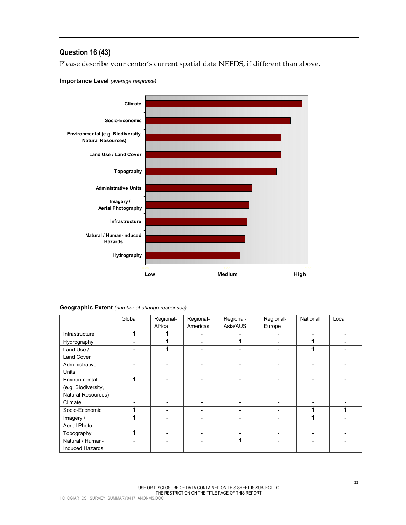## **Question 16 (43)**

Please describe your center's current spatial data NEEDS, if different than above.





#### **Geographic Extent** *(number of change responses)*

|                        | Global                   | Regional- | Regional- | Regional- | Regional- | National                 | Local |
|------------------------|--------------------------|-----------|-----------|-----------|-----------|--------------------------|-------|
|                        |                          | Africa    | Americas  | Asia/AUS  | Europe    |                          |       |
| Infrastructure         | ۸                        | 1         |           | ۰         |           | $\overline{\phantom{a}}$ | -     |
| Hydrography            |                          | 1         |           | 1         |           | 1                        |       |
| Land Use /             |                          | 1         |           |           |           | 4                        |       |
| Land Cover             |                          |           |           |           |           |                          |       |
| Administrative         |                          | -         |           |           |           |                          |       |
| <b>Units</b>           |                          |           |           |           |           |                          |       |
| Environmental          | 4                        |           |           |           |           |                          |       |
| (e.g. Biodiversity,    |                          |           |           |           |           |                          |       |
| Natural Resources)     |                          |           |           |           |           |                          |       |
| Climate                | $\overline{\phantom{0}}$ | -         |           | -         |           |                          |       |
| Socio-Economic         |                          |           |           |           |           |                          |       |
| Imagery /              |                          |           |           |           |           |                          |       |
| Aerial Photo           |                          |           |           |           |           |                          |       |
| Topography             |                          | ۰         |           | ۰         |           | $\overline{\phantom{0}}$ |       |
| Natural / Human-       |                          |           |           | 1         |           |                          |       |
| <b>Induced Hazards</b> |                          |           |           |           |           |                          |       |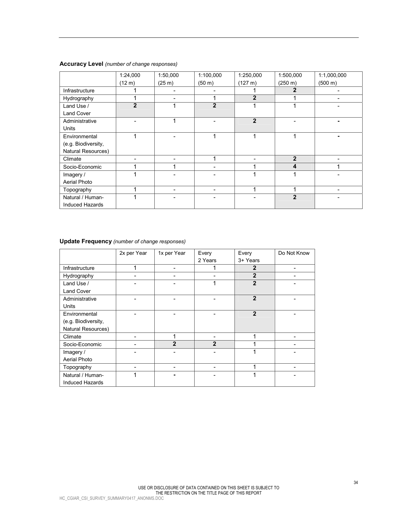#### **Accuracy Level** *(number of change responses)*

|                     | 1:24,000       | 1:50,000 | 1:100,000      | 1:250,000      | 1:500,000    | 1:1,000,000 |
|---------------------|----------------|----------|----------------|----------------|--------------|-------------|
|                     | (12 m)         | (25 m)   | (50 m)         | $(127 \; m)$   | (250 m)      | (500 m)     |
| Infrastructure      |                |          |                |                | 2            |             |
| Hydrography         | 4              |          | -4             | $\overline{2}$ |              |             |
| Land Use /          | $\overline{2}$ |          | $\overline{2}$ |                |              |             |
| <b>Land Cover</b>   |                |          |                |                |              |             |
| Administrative      |                |          |                | $\overline{2}$ |              |             |
| <b>Units</b>        |                |          |                |                |              |             |
| Environmental       | 4              |          | 4              |                |              |             |
| (e.g. Biodiversity, |                |          |                |                |              |             |
| Natural Resources)  |                |          |                |                |              |             |
| Climate             |                |          |                |                | $\mathbf{2}$ |             |
| Socio-Economic      |                |          |                |                | 4            |             |
| Imagery /           |                |          |                |                |              |             |
| Aerial Photo        |                |          |                |                |              |             |
| Topography          | ٠              |          |                |                |              |             |
| Natural / Human-    |                |          |                |                | $\mathbf{2}$ |             |
| Induced Hazards     |                |          |                |                |              |             |

|                     | 2x per Year | 1x per Year    | Every        | Every          | Do Not Know |
|---------------------|-------------|----------------|--------------|----------------|-------------|
|                     |             |                | 2 Years      | 3+ Years       |             |
| Infrastructure      | 1           |                |              | $\overline{2}$ |             |
| Hydrography         |             |                |              | $\overline{2}$ |             |
| Land Use /          |             |                |              | $\overline{2}$ |             |
| <b>Land Cover</b>   |             |                |              |                |             |
| Administrative      |             |                |              | $\overline{2}$ |             |
| Units               |             |                |              |                |             |
| Environmental       |             |                |              | $\overline{2}$ |             |
| (e.g. Biodiversity, |             |                |              |                |             |
| Natural Resources)  |             |                |              |                |             |
| Climate             |             |                |              |                |             |
| Socio-Economic      |             | $\overline{2}$ | $\mathbf{2}$ |                |             |
| Imagery /           |             |                |              |                |             |
| Aerial Photo        |             |                |              |                |             |
| Topography          |             |                |              | 1              |             |
| Natural / Human-    |             |                |              |                |             |
| Induced Hazards     |             |                |              |                |             |

#### **Update Frequency** *(number of change responses)*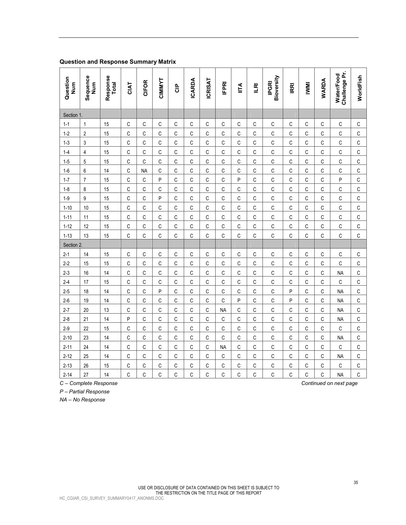| $\Omega$<br>Z-0 | 10<br>╵┙ | Ί4 | $\sim$<br>. . | ~<br>. . |  | . . | Ð<br>. . |  |  | <b>NA</b> | $\sim$<br>◡ |
|-----------------|----------|----|---------------|----------|--|-----|----------|--|--|-----------|-------------|
|                 |          |    |               |          |  |     |          |  |  |           |             |

|  | C – Complete Response |
|--|-----------------------|
|  |                       |

*P – Partial Response* 

*NA – No Response*

|                      | <b>Question and Response Summary Matrix</b> |                          |              |              |        |              |               |                |              |                      |              |                            |              |              |              |                             |                |
|----------------------|---------------------------------------------|--------------------------|--------------|--------------|--------|--------------|---------------|----------------|--------------|----------------------|--------------|----------------------------|--------------|--------------|--------------|-----------------------------|----------------|
| Question<br>Num<br>Z | Sequence<br>Num                             | Response<br><b>Total</b> | CIAT         | <b>CIFOR</b> | CIMMYT | 응            | <b>ICARDA</b> | <b>ICRISAT</b> | <b>IEPRI</b> | $\tilde{\mathsf{F}}$ | $\mathbb{E}$ | Bioversity<br><b>IPGRI</b> | IRRI         | <b>IWWI</b>  | <b>WARDA</b> | Challenge Pr.<br>Water/Food | WorldFish      |
| Section 1.           |                                             |                          |              |              |        |              |               |                |              |                      |              |                            |              |              |              |                             |                |
| $1 - 1$              | $\mathbf{1}$                                | 15                       | $\mathsf C$  | C            | C      | C            | C             | C              | C            | $\mathsf{C}$         | C            | C                          | C            | C            | C            | C                           | C              |
| $1 - 2$              | $\mathbf{2}$                                | 15                       | C            | C            | С      | C            | C             | C              | C            | $\mathbb C$          | С            | С                          | C            | C            | C            | С                           | $\overline{C}$ |
| $1 - 3$              | 3                                           | 15                       | C            | C            | C      | C            | C             | C              | C            | C                    | C            | C                          | C            | C            | C            | С                           | $\mathsf C$    |
| $1 - 4$              | 4                                           | 15                       | C            | C            | C      | C            | C             | C              | C            | C                    | C            | C                          | C            | C            | $\mathsf{C}$ | С                           | $\mathsf C$    |
| $1 - 5$              | 5                                           | 15                       | $\mathbb{C}$ | C            | C      | C            | C             | С              | C            | $\mathbb C$          | С            | С                          | C            | C            | C            | C                           | $\overline{C}$ |
| $1-6$                | 6                                           | 14                       | C            | <b>NA</b>    | C      | C            | C             | C              | C            | C                    | C            | C                          | C            | C            | C            | C                           | $\mathsf C$    |
| $1 - 7$              | $\overline{7}$                              | 15                       | C            | C            | P      | $\mathsf{C}$ | C             | C              | C            | P                    | C            | C                          | C            | C            | $\mathsf{C}$ | P                           | $\mathsf C$    |
| $1 - 8$              | 8                                           | 15                       | $\mathbb C$  | C            | C      | C            | C             | C              | C            | C                    | С            | С                          | C            | C            | C            | C                           | $\overline{C}$ |
| $1-9$                | 9                                           | 15                       | C            | C            | P      | C            | C             | C              | C            | C                    | C            | C                          | C            | C            | C            | С                           | $\mathsf C$    |
| $1 - 10$             | 10                                          | 15                       | C            | C            | C      | C            | C             | C              | C            | $\mathsf{C}$         | C            | C                          | $\mathsf{C}$ | $\mathsf{C}$ | $\mathsf{C}$ | C                           | $\mathsf C$    |
| $1 - 11$             | 11                                          | 15                       | $\mathbb C$  | С            | C      | C            | C             | С              | C            | C                    | С            | С                          | C            | C            | C            | C                           | $\overline{C}$ |
| $1 - 12$             | 12                                          | 15                       | C            | C            | C      | C            | C             | C              | C            | C                    | C            | C                          | C            | C            | C            | С                           | $\mathsf C$    |
| $1 - 13$             | 13                                          | 15                       | C            | C            | C      | C            | $\mathsf{C}$  | C              | C            | $\mathsf{C}$         | C            | C                          | $\mathsf{C}$ | C            | $\mathsf{C}$ | C                           | $\mathsf{C}$   |
| Section 2.           |                                             |                          |              |              |        |              |               |                |              |                      |              |                            |              |              |              |                             |                |
| $2 - 1$              | 14                                          | 15                       | C            | С            | C      | C            | C             | C              | C            | C                    | C            | C                          | С            | C            | C            | С                           | C              |
| $2-2$                | 15                                          | 15                       | C            | С            | С      | C            | С             | С              | C            | $\mathbb C$          | С            | С                          | C            | C            | C            | С                           | $\mathsf{C}$   |

2-3 16 14 C C C C C C C C C C C C C NA C 2-4 17 15 C C C C C C C C C C C C C C C 2-5 18 14 C C P C C C C C C C P C C NA C

2-7 20 13 CCCCCCCCCNACCCCCCCCCCCA 2-8 21 14 PCCCCCCCCCCCCCCCCCCCNA 2-9 22 15 CCCCCCCCCCCCCCCCCCCCCCCC 2-10 23 14 CCCCCCCCCCCCCCCCCCCCC 2-11 24 14 CCCCCCCCCCMACCCCCCCCCCC 2-12 25 14 CCCCCCCCCCCCCCCCCCCCCCNAC 2-13 26 15 CCCCCCCCCCCCCCCCCCCCCCCC 2-14 27 14 C C C C C C C C C C C C C NA C

Continued on next page

**WorldFish** 

WorldFish